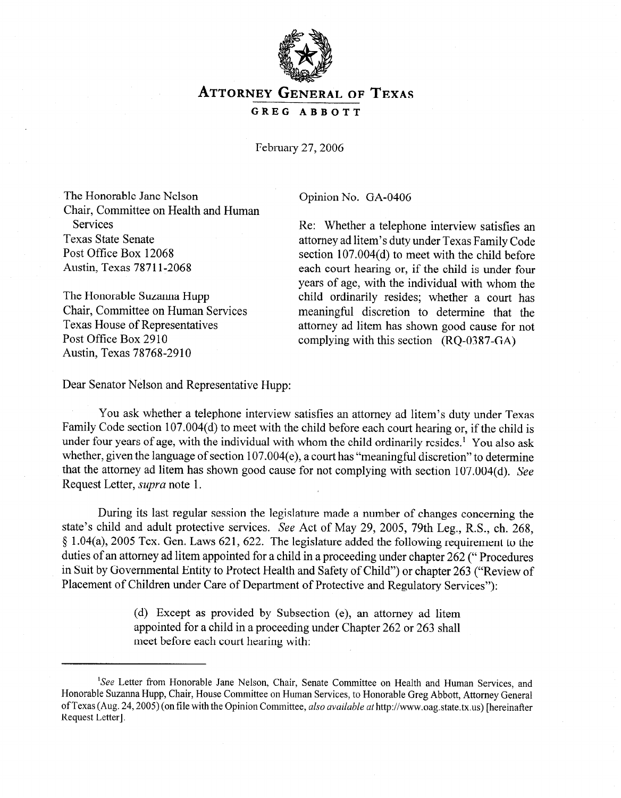

## ATTORNEYGENERALOF **TEXAS**

## **GREG ABBOTT**

February 27,2006

The Honorable Jane Nelson Chair, Committee on Health and Human Services Texas State Senate Post Office Box 12068 Austin, Texas 7871 l-2068

The Honorable Suzanna Hupp Chair, Committee on Human Services Texas House of Representatives Post Office Box 2910 Austin, Texas 78768-2910

Opinion No. GA-0406

Re: Whether a telephone interview satisfies an attorney ad litem's duty under Texas Family Code section 107.004(d) to meet with the child before each court hearing or, if the child is under four years of age, with the individual with whom the child ordinarily resides; whether a court has meaningful discretion to determine that the attorney ad litem has shown good cause for not complying with this section (RQ-0387-GA)

Dear Senator Nelson and Representative Hupp:

You ask whether a telephone interview satisfies an attorney ad litem's duty under Texas Family Code section 107.004(d) to meet with the child before each court hearing or, if the child is under four years of age, with the individual with whom the child ordinarily resides.<sup>1</sup> You also ask whether, given the language of section 107.004(e), a court has "meaningful discretion" to determine that the attorney ad litem has shown good cause for not complying with section 107.004(d). See Request Letter, *supra* note 1.

During its last regular session the legislature made a number of changes concerning the state's child and adult protective services. See Act of May 29, 2005, 79th Leg., R.S., ch. 268, 5 1.04(a), 2005 Tex. Gen. Laws 621, 622. The legislature added the following requirement to the duties of an attorney ad litem appointed for a child in a proceeding under chapter 262 ("Procedures in Suit by Governmental Entity to Protect Health and Safety of Child") or chapter 263 ("Review of Placement of Children under Care of Department of Protective and Regulatory Services"):

> (d) Except as provided by Subsection (e), an attorney ad litem appointed for a child in a proceeding under Chapter 262 or 263 shall meet before each court hearing with:

<sup>&</sup>lt;sup>1</sup>See Letter from Honorable Jane Nelson, Chair, Senate Committee on Health and Human Services, and Honorable Suzanna Hupp, Chair, House Committee on Human Services, to Honorable Greg Abbott, Attorney General of Texas (Aug. 24,2005) (on file with the Opinion Committee, also *available at* http://www.oag.state.tx.us) [hereinafter Request Letter].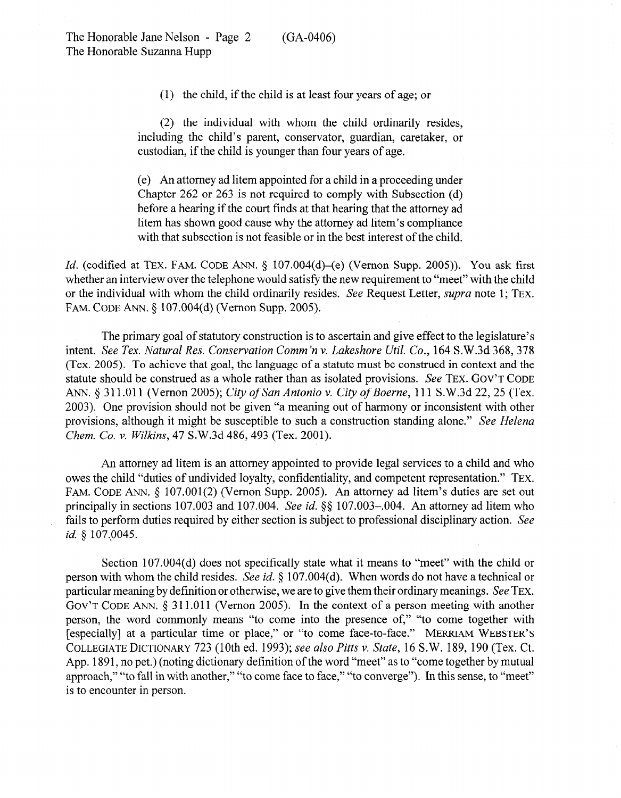(1) the child, if the child is at least four years of age; or

(2) the individual with whom the child ordinarily resides, including the child's parent, conservator, guardian, caretaker, or custodian, if the child is younger than four years of age.

(e) An attorney ad litem appointed for a child in a proceeding under Chapter 262 or 263 is not required to comply with Subsection (d) before a hearing if the court finds at that hearing that the attorney ad litem has shown good cause why the attorney ad litem's compliance with that subsection is not feasible or in the best interest of the child.

*Id.* (codified at TEX. FAM. CODE ANN. § 107.004(d)–(e) (Vernon Supp. 2005)). You ask first whether an interview over the telephone would satisfy the new requirement to "meet" with the child or the individual with whom the child ordinarily resides. See Request Letter, *supra* note 1; TEX. FAM. CODE ANN. 6 107.004(d) (Vernon Supp. 2005).

The primary goal of statutory construction is to ascertain and give effect to the legislature's intent. *See Tex. Natural Res. Conservation Comm'n v. Lakeshore Util. Co.*, 164 S.W.3d 368, 378 (Tex. 2005). To achieve that goal, the language of a statute must be construed in context and the statute should be construed as a whole rather than as isolated provisions. See **TEX. GOV'T CODE**  ANN. 5 311 .Oll (Vernon *2005); City of San Antonio v. City of Boerne, 111* S.W.3d 22,25 (Tex. 2003). One provision should not be given "a meaning out of harmony or inconsistent with other provisions, although it might be susceptible to such a construction standing alone." *See Helena Ckem. Co. v. Wilkins, 47* S.W.3d 486,493 (Tex. 2001).

An attorney ad litem is an attorney appointed to provide legal services to a child and who owes the child "duties of undivided loyalty, confidentiality, and competent representation." TEX. FAM. CODE ANN. § 107.001(2) (Vernon Supp. 2005). An attorney ad litem's duties are set out principally in sections 107.003 and 107.004. See id. §§ 107.003-004. An attorney ad litem who fails to perform duties required by either section is subject to professional disciplinary action. See *id.* § 107.0045.

Section 107.004(d) does not specifically state what it means to "meet" with the child or person with whom the child resides. See *id.* § 107.004(d). When words do not have a technical or particular meaning by definition or otherwise, we are to give them their ordinary meanings. See TEX. GOV'T CODE ANN.  $\S 311.011$  (Vernon 2005). In the context of a person meeting with another person, the word commonly means "to come into the presence of," "to come together with [especially] at a particular time or place," or "to come face-to-face." MERRIAM **WEBSTER'S COLLEGIATE DICTIONARY** *723* (10th ed. *1993); see also Pitts v. State,* 16 S. W. 189, 190 (Tex. Ct. App. 1891, no pet.) (noting dictionary definition of the word "meet" as to "come together by mutual approach," "to fall in with another," "to come face to face," "to converge"). In this sense, to "meet" is to encounter in person.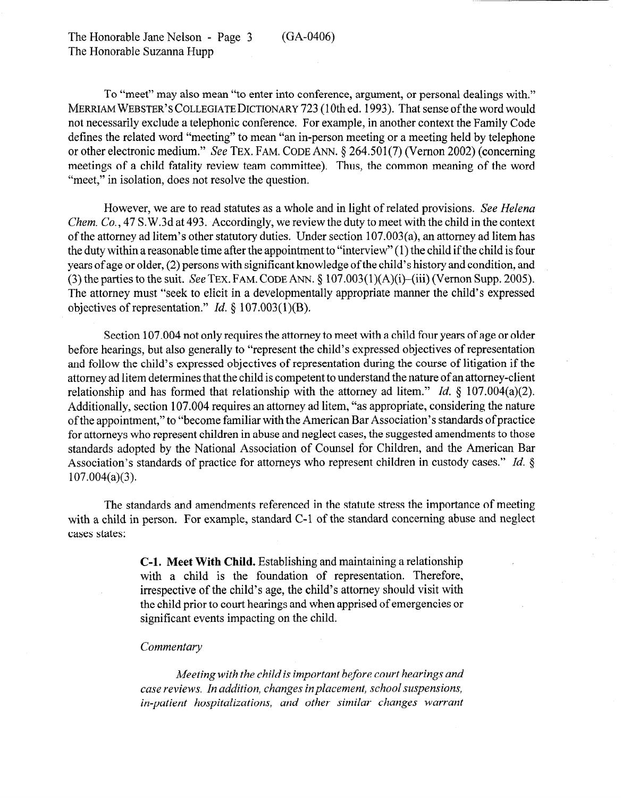To "meet" may also mean "to enter into conference, argument, or personal dealings with." **MERRIAM WEBSTER'S COLLEGIATE DICTIONARY** 723 (10th ed. 1993). That sense of the word would not necessarily exclude a telephonic conference. For example, in another context the Family Code defines the related word "meeting" to mean "an in-person meeting or a meeting held by telephone or other electronic medium." See TEX. FAM. CODE ANN.  $\delta$  264.501(7) (Vernon 2002) (concerning meetings of a child fatality review team committee). Thus, the common meaning of the word "meet," in isolation, does not resolve the question.

However, we are to read statutes as a whole and in light of related provisions. See *Helena Chem. Co.,* 47 S.W.3d at 493. Accordingly, we review the duty to meet with the child in the context of the attorney ad litem's other statutory duties. Under section 107.003(a), an attorney ad litem has the duty within a reasonable time after the appointment to "interview" (1) the child if the child is four years of age or older, (2) persons with significant knowledge of the child's history and condition, and (3) the parties to the suit. See **TEX.** FAM. CODE ANN. \$ 107.003(1)(A)(i)-(iii) (Vernon Supp. 2005). The attorney must "seek to elicit in a developmentally appropriate manner the child's expressed objectives of representation." *Id. 5* 107.003(1)(B).

Section 107.004 not only requires the attorney to meet with a child four years of age or older before hearings, but also generally to "represent the child's expressed objectives of representation and follow the child's expressed objectives of representation during the course of litigation if the attorney ad litem determines that the child is competent to understand the nature of an attorney-client relationship and has formed that relationship with the attorney ad litem." *Id. 5* 107.004(a)(2). Additionally, section 107.004 requires an attorney ad litem, "as appropriate, considering the nature of the appointment," to "become familiar with the American Bar Association's standards ofpractice for attorneys who represent children in abuse and neglect cases, the suggested amendments to those standards adopted by the National Association of Counsel for Children, and the American Bar Association's standards of practice for attorneys who represent children in custody cases." *Id.* § 107.004(a)(3).

The standards and amendments referenced in the statute stress the importance of meeting with a child in person. For example, standard C-1 of the standard concerning abuse and neglect cases states:

> **C-l. Meet With Child.** Establishing and maintaining a relationship with a child is the foundation of representation. Therefore, irrespective of the child's age, the child's attorney should visit with the child prior to court hearings and when apprised of emergencies or significant events impacting on the child.

## *Commentary*

*Meeting with the child is important before court hearings and case reviews. In addition, changes inplacement, school suspensions, in-patient hospitalizations, and other similar changes warrant*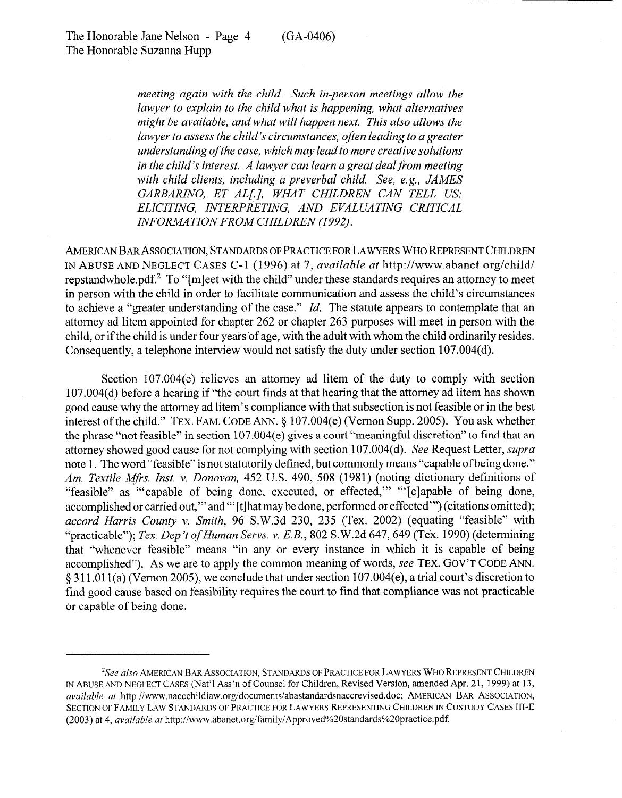(GA-0406)

*meeting again with the child. Such in-person meetings allow the lawyer to explain to the child what is happening, what alternatives might be available, and what will happen next. This also allows the lawyer to assess the child's circumstances, often leading to a greater understanding of the case, which may lead to more creative solutions in the child's interest. A lawyer can learn a great dealfrom meeting with child clients, including a preverbal child. See, e.g., JAMES GARBARINO, ET ALL], WHAT CHILDREN CAN TELL US: ELICITING, INTERPRETING, AND EVALUATING CRITICAL*  **INFORMATION FROM CHILDREN (1992).** 

**AMERICAN** BAR ASSOCIATION, STANDARDS **OF PRACTICE FOR LAWYERS** WHO **REPRESENT** CHILDREN **IN ABUSE AND NEGLECT CASES** *C-* 1 (1996) at *7, available at* http://www.abanet.org/child/ repstandwhole.pdf.<sup>2</sup> To "[mleet with the child" under these standards requires an attorney to meet in person with the child in order to facilitate communication and assess the child's circumstances to achieve a "greater understanding of the case." *Id.* The statute appears to contemplate that an attorney ad litem appointed for chapter 262 or chapter 263 purposes will meet in person with the child, or if the child is under four years bf age, with the adult with whom the child ordinarily resides. Consequently, a telephone interview would not satisfy the duty under section 107.004(d).

Section 107.004(e) relieves an **attorney** ad litem of the duty to comply with section 107.004(d) before a hearing if "the court finds at that hearing that the attorney ad litem has shown good cause why the attorney ad litem's compliance with that subsection is not feasible or in the best interest of the child." TEX. FAM. CODE ANN. § 107.004(e) (Vernon Supp. 2005). You ask whether the phrase "not feasible" in section 107.004(e) gives a court "meaningful discretion" to find that an attorney showed good cause for not complying with section 107.004(d). See Request Letter, *supra*  note 1. The word "feasible" is not statutorily defined, but commonly means "capable of being done." *Am. Textile Mfis. Inst. v. Donovan, 452* U.S. 490, 508 (1981) (noting dictionary definitions of "feasible" as "capable of being done, executed, or effected," "[c]apable of being done, accomplished or carried out," and "'[t]hat may be done, performed or effected"') (citations omitted); *accord Harris County v. Smith,* 96 S.W.3d 230, 235 (Tex. 2002) (equating "feasible" with "practicable"); *Tex. Dep't of Human Servs. v. E.B.*, 802 S.W.2d 647, 649 (Tex. 1990) (determining that "whenever feasible" means "in any or every instance in which it is capable of being accomplished"). As we are to apply the common meaning of words, see **TEX. GOV'T CODE** ANN. 6 311.011(a) (Vemon2005), we conclude that under section 107.004(e), a trial court's discretion to find good cause based on feasibility requires the court to find that compliance was not practicable or capable of being done.

<sup>&#</sup>x27;See *also* AMERICAN BAR ASSOCIATION, STANDARDS OF PRACTICE FOR LAWYERS WHO REPRESENT CHILDREN m ABUSE AND NEGLECT CASES (Nat'1 Ass'n of Counsel for Children, Revised Version, amended Apr. 2 1, 1999) at 13, *available at http://www.naccchildlaw.org/documents/abastandardsnaccrevised.doc; AMERICAN BAR ASSOCIATION,* SECTION OF FAMILY LAW STANDARDS OF PRACTICE FOR LAWYERS REPRESENTING CHILDREN IN CUSTODY CASES III-E *(2003)* at *4, available at* http:/iwww.abanet.org/familyiApproved%2Ostandards%20practice.pdf: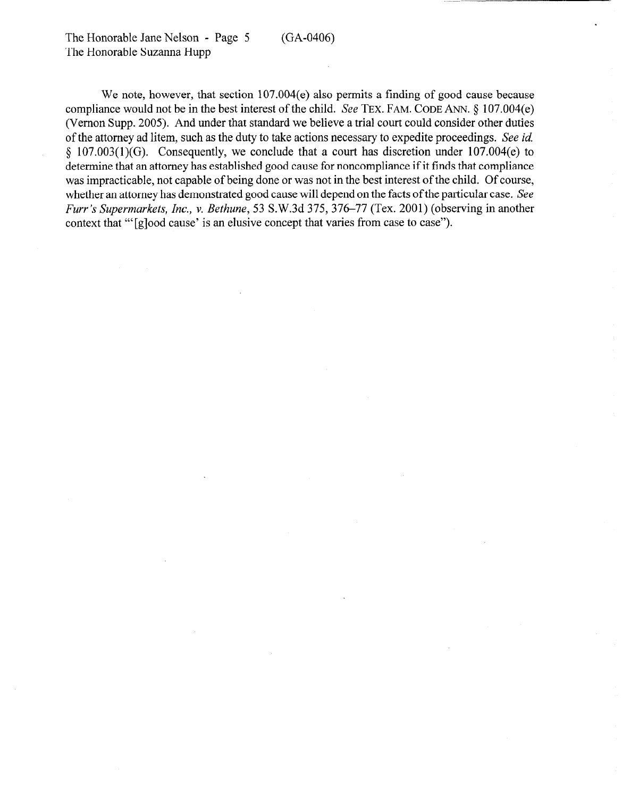The Honorable Jane Nelson - Page 5 The Honorable Suzanna Hupp (GA-0406)

We note, however, that section 107.004(e) also permits a finding of good cause because compliance would not be in the best interest of the child. See TEX. FAM. CODE ANN.  $\S$  107.004(e) (Vernon Supp. 2005). And under that standard we believe a trial court could consider other duties of the attorney ad litem, such as the duty to take actions necessary to expedite proceedings. See *id*   $§$  107.003(1)(G). Consequently, we conclude that a court has discretion under 107.004(e) to determine that an attorney has established good cause for noncompliance if it finds that compliance was impracticable, not capable of being done or was not in the best interest of the child. Of course, whether an attorney has demonstrated good cause will depend on the facts of the particular case. See *Furr's Supermarkets, Inc., v. Bethune,* 53 S.W.3d 375,376-77 (Tex. 2001) (observing in another context that "'[glood cause' is an elusive concept that varies from case to case").